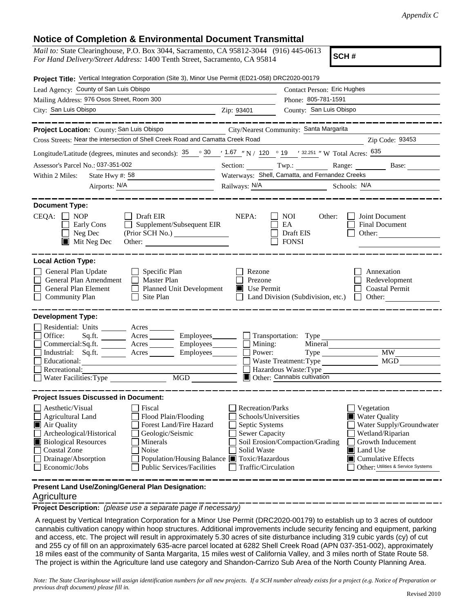## **Notice of Completion & Environmental Document Transmittal**

| <i>Mail to:</i> State Clearinghouse, P.O. Box 3044, Sacramento, CA 95812-3044 (916) 445-0613 |
|----------------------------------------------------------------------------------------------|
| For Hand Delivery/Street Address: 1400 Tenth Street, Sacramento, CA 95814                    |

**SCH #**

| Project Title: Vertical Integration Corporation (Site 3), Minor Use Permit (ED21-058) DRC2020-00179                                                                                                                                                                                                                                                                                                                       |                                                                                                                           |                                                                                          |                                                                                                                                                                |  |  |  |  |
|---------------------------------------------------------------------------------------------------------------------------------------------------------------------------------------------------------------------------------------------------------------------------------------------------------------------------------------------------------------------------------------------------------------------------|---------------------------------------------------------------------------------------------------------------------------|------------------------------------------------------------------------------------------|----------------------------------------------------------------------------------------------------------------------------------------------------------------|--|--|--|--|
| Lead Agency: County of San Luis Obispo                                                                                                                                                                                                                                                                                                                                                                                    | Contact Person: Eric Hughes                                                                                               |                                                                                          |                                                                                                                                                                |  |  |  |  |
| Mailing Address: 976 Osos Street, Room 300                                                                                                                                                                                                                                                                                                                                                                                |                                                                                                                           | Phone: 805-781-1591                                                                      |                                                                                                                                                                |  |  |  |  |
| City: San Luis Obispo<br>$\frac{1}{\sqrt{1-\frac{1}{2}}\sqrt{1-\frac{1}{2}}\sqrt{1-\frac{1}{2}}\sqrt{1-\frac{1}{2}}}}$ Zip: 93401                                                                                                                                                                                                                                                                                         |                                                                                                                           | County: San Luis Obispo                                                                  |                                                                                                                                                                |  |  |  |  |
|                                                                                                                                                                                                                                                                                                                                                                                                                           |                                                                                                                           |                                                                                          | ______________                                                                                                                                                 |  |  |  |  |
| Project Location: County: San Luis Obispo<br>City/Nearest Community: Santa Margarita                                                                                                                                                                                                                                                                                                                                      |                                                                                                                           |                                                                                          |                                                                                                                                                                |  |  |  |  |
| Cross Streets: Near the intersection of Shell Creek Road and Camatta Creek Road<br>Zip Code: 93453                                                                                                                                                                                                                                                                                                                        |                                                                                                                           |                                                                                          |                                                                                                                                                                |  |  |  |  |
| Longitude/Latitude (degrees, minutes and seconds): $\frac{35}{25}$ $\frac{30}{25}$ $\frac{1.67}{25}$ N / 120 $\degree$ 19 $\degree$ 132.251 " W Total Acres: $\frac{635}{25}$                                                                                                                                                                                                                                             |                                                                                                                           |                                                                                          |                                                                                                                                                                |  |  |  |  |
| Assessor's Parcel No.: 037-351-002<br><u> 1989 - Johann Barn, mars ar breist fan de Fryske kommunent fan de ferstjerke fan de ferstjerke fan de ferstj</u>                                                                                                                                                                                                                                                                |                                                                                                                           | Section: Twp.: Range: Base:                                                              |                                                                                                                                                                |  |  |  |  |
| State Hwy #: $58$<br>Within 2 Miles:                                                                                                                                                                                                                                                                                                                                                                                      | Waterways: Shell, Camatta, and Fernandez Creeks                                                                           |                                                                                          |                                                                                                                                                                |  |  |  |  |
| Airports: N/A<br><u> 1980 - Jan Barbara Barbara, política establecera en la propia de la propia de la propia de la propia de la p</u>                                                                                                                                                                                                                                                                                     |                                                                                                                           | Railways: N/A<br>Schools: N/A                                                            |                                                                                                                                                                |  |  |  |  |
| <b>Document Type:</b><br>$CEQA: \Box NP$<br>Draft EIR<br>Supplement/Subsequent EIR<br>Early Cons<br>Neg Dec<br>$\blacksquare$ Mit Neg Dec<br>Other:                                                                                                                                                                                                                                                                       | NEPA:                                                                                                                     | <b>NOI</b><br>Other:<br>EA<br>Draft EIS<br><b>FONSI</b>                                  | Joint Document<br><b>Final Document</b><br>Other:                                                                                                              |  |  |  |  |
| <b>Local Action Type:</b><br>General Plan Update<br>$\Box$ Specific Plan<br>General Plan Amendment<br>$\Box$ Master Plan<br>General Plan Element<br>Planned Unit Development<br>$\Box$ Site Plan<br><b>Community Plan</b>                                                                                                                                                                                                 | Rezone<br>Prezone<br>Use Permit                                                                                           | Land Division (Subdivision, etc.)                                                        | Annexation<br>Redevelopment<br><b>Coastal Permit</b><br>$\Box$ Other:                                                                                          |  |  |  |  |
| <b>Development Type:</b><br>Residential: Units ________ Acres _______<br>Office:<br>Sq.ft. _________ Acres ___________ Employees________<br>Commercial:Sq.ft. _________ Acres __________ Employees________<br>Industrial: Sq.ft. Acres<br>Employees________<br>Educational:<br>Recreational:<br>MGD<br><br>Water Facilities: Type                                                                                         | $\Box$ Mining:<br>Power:                                                                                                  | Mineral<br>Waste Treatment: Type<br>Hazardous Waste: Type<br>Other: Cannabis cultivation | <b>MW</b><br>MGD                                                                                                                                               |  |  |  |  |
| <b>Project Issues Discussed in Document:</b><br>Aesthetic/Visual<br>Fiscal<br>Flood Plain/Flooding<br>Agricultural Land<br>Forest Land/Fire Hazard<br>Air Quality<br>Archeological/Historical<br>Geologic/Seismic<br><b>Biological Resources</b><br>Minerals<br><b>Coastal Zone</b><br>Noise<br>Drainage/Absorption<br>Population/Housing Balance ■ Toxic/Hazardous<br>Economic/Jobs<br><b>Public Services/Facilities</b> | <b>Recreation/Parks</b><br>Schools/Universities<br>Septic Systems<br>Sewer Capacity<br>Solid Waste<br>Traffic/Circulation | Soil Erosion/Compaction/Grading<br>Land Use                                              | Vegetation<br>■ Water Quality<br>Water Supply/Groundwater<br>Wetland/Riparian<br>Growth Inducement<br>Cumulative Effects<br>Other: Utilities & Service Systems |  |  |  |  |
| Present Land Use/Zoning/General Plan Designation:                                                                                                                                                                                                                                                                                                                                                                         |                                                                                                                           |                                                                                          |                                                                                                                                                                |  |  |  |  |

## **Agriculture**

**Project Description:** *(please use a separate page if necessary)*

 A request by Vertical Integration Corporation for a Minor Use Permit (DRC2020-00179) to establish up to 3 acres of outdoor cannabis cultivation canopy within hoop structures. Additional improvements include security fencing and equipment, parking and access, etc. The project will result in approximately 5.30 acres of site disturbance including 319 cubic yards (cy) of cut and 255 cy of fill on an approximately 635-acre parcel located at 6282 Shell Creek Road (APN 037-351-002), approximately 18 miles east of the community of Santa Margarita, 15 miles west of California Valley, and 3 miles north of State Route 58. The project is within the Agriculture land use category and Shandon-Carrizo Sub Area of the North County Planning Area.

*Note: The State Clearinghouse will assign identification numbers for all new projects. If a SCH number already exists for a project (e.g. Notice of Preparation or previous draft document) please fill in.*